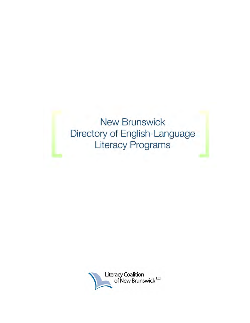**New Brunswick** Directory of English-Language **Literacy Programs** 

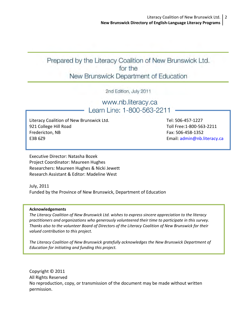# Prepared by the Literacy Coalition of New Brunswick Ltd. for the New Brunswick Department of Education

2nd Edition, July 2011

www.nb.literacy.ca Learn Line: 1-800-563-2211

Literacy Coalition of New Brunswick Ltd. 921 College Hill Road Fredericton, NB E3B 6Z9

Tel: 506‐457‐1227 Toll Free:1‐800‐563‐2211 Fax: 506‐458‐1352 Email: [admin@nb.literacy.ca](mailto:admin@nb.literacy.ca)

Executive Director: Natasha Bozek Project Coordinator: Maureen Hughes Researchers: Maureen Hughes & Nicki Jewett Research Assistant & Editor: Madeline West

July, 2011 Funded by the Province of New Brunswick, Department of Education

### **Acknowledgements**

*The Literacy Coalition of New Brunswick Ltd. wishes to express sincere appreciation to the literacy practitioners and organizations who generously volunteered their time to participate in this survey. Thanks also to the volunteer Board of Directors of the Literacy Coalition of New Brunswick for their valued contribution to this project.*

*The Literacy Coalition of New Brunswick gratefully acknowledges the New Brunswick Department of Education for initiating and funding this project.*

Copyright © 2011 All Rights Reserved No reproduction, copy, or transmission of the document may be made without written permission.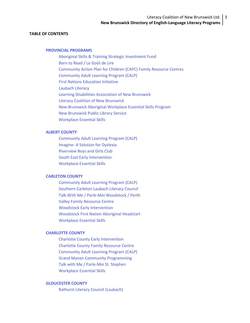### **TABLE OF CONTENTS**

#### **[PROVINCIAL](#page-6-0) PROGRAMS**

Aboriginal Skills & Training Strategic [Investment](#page-6-0) Fund Born to [Read](#page-6-0) / Le Goût de Lire [Community](#page-7-0) Action Plan for Children (CAPC) Family Resource Centres [Community](#page-7-0) Adult Learning Program (CALP) First Nations [Education](#page-7-0) Initiative [Laubach](#page-8-0) Literacy Learning Disabilities [Association](#page-8-0) of New Brunswick Literacy Coalition of New [Brunswick](#page-8-0) New Brunswick Aboriginal [Workplace](#page-9-0) Essential Skills Program New [Brunswick](#page-9-0) Public Library Service [Workplace](#page-9-0) Essential Skills

#### **ALBERT [COUNTY](#page-10-0)**

[Community](#page-10-0) Adult Learning Program (CALP) Imagine‐ A [Solution](#page-10-0) for Dyslexia [Riverview](#page-11-0) Boys and Girls Club South East Early [Intervention](#page-11-0) [Workplace](#page-11-0) Essential Skills

### **[CARLETON](#page-12-0) COUNTY**

[Community](#page-12-0) Adult Learning Program (CALP) [Southern](#page-12-0) Carleton Laubach Literacy Council Talk With Me / Parle‐Moi [Woodstock](#page-12-0) / Perth Valley Family [Resource](#page-13-0) Centre Woodstock Early [Intervention](#page-13-0) [Woodstock](#page-13-0) First Nation Aboriginal Headstart [Workplace](#page-14-0) Essential Skills

#### **[CHARLOTTE](#page-15-0) COUNTY**

Charlotte County Early [Intervention](#page-15-0) [Charlotte](#page-15-0) County Family Resource Centre [Community](#page-15-0) Adult Learning Program (CALP) Grand Manan Community [Programming](#page-16-0) Talk with Me / Parle‐Moi St. [Stephen](#page-16-0) [Workplace](#page-16-0) Essential Skills

### **[GLOUCESTER](#page-17-0) COUNTY**

Bathurst Literacy Council [\(Laubach\)](#page-17-0)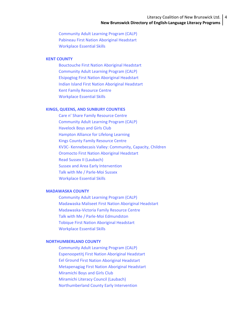### Literacy Coalition of New Brunswick Ltd. | 4 **New Brunswick Directory of English‐Language Literacy Programs**

[Community](#page-17-0) Adult Learning Program (CALP) Pabineau First Nation [Aboriginal](#page-17-0) Headstart [Workplace](#page-18-0) Essential Skills

#### **KENT [COUNTY](#page-19-0)**

[Bouctouche](#page-19-0) First Nation Aboriginal Headstart [Community](#page-19-0) Adult Learning Program (CALP) [Elsipogtog](#page-19-0) First Nation Aboriginal Headstart Indian Island First Nation [Aboriginal](#page-20-0) Headstart Kent Family [Resource](#page-20-0) Centre [Workplace](#page-20-0) Essential Skills

#### **KINGS, QUEENS, AND SUNBURY [COUNTIES](#page-21-0)**

Care n' Share Family [Resource](#page-21-0) Centre [Community](#page-21-0) Adult Learning Program (CALP) [Havelock](#page-21-0) Boys and Girls Club [Hampton](#page-22-0) Alliance for Lifelong Learning Kings County Family [Resource](#page-22-0) Centre KV3C‐ [Kennebecasis](#page-22-0) Valley: Community, Capacity, Children Oromocto First Nation [Aboriginal](#page-22-0) Headstart Read Sussex II [\(Laubach\)](#page-23-0) Sussex and Area Early [Intervention](#page-23-0) Talk with Me / Parle‐Moi [Sussex](#page-23-0) [Workplace](#page-24-0) Essential Skills

### **[MADAWASKA](#page-25-0) COUNTY**

[Community](#page-25-0) Adult Learning Program (CALP) [Madawaska](#page-25-0) Maliseet First Nation Aboriginal Headstart [Madawaska](#page-25-0)‐Victoria Family Resource Centre Talk with Me / Parle‐Moi [Edmundston](#page-26-0) Tobique First Nation [Aboriginal](#page-26-0) Headstart [Workplace](#page-26-0) Essential Skills

### **[NORTHUMBERLAND](#page-27-0) COUNTY**

[Community](#page-27-0) Adult Learning Program (CALP) [Espenoopetitj](#page-27-0) First Nation Aboriginal Headstart Eel Ground First Nation [Aboriginal](#page-27-0) Headstart [Metapenagiag](#page-28-0) First Nation Aboriginal Headstart [Miramichi](#page-28-0) Boys and Girls Club [Miramichi](#page-28-0) Literacy Council (Laubach) [Northumberland](#page-28-0) County Early Intervention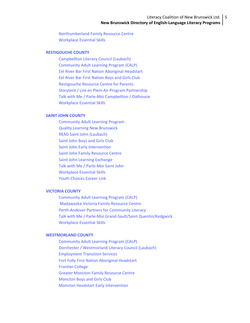### Literacy Coalition of New Brunswick Ltd. 5 **New Brunswick Directory of English‐Language Literacy Programs**

[Northumberland](#page-29-0) Family Resource Centre [Workplace](#page-29-0) Essential Skills

#### **[RESTIGOUCHE](#page-30-0) COUNTY**

[Campbellton](#page-30-0) Literacy Council (Laubach) [Community](#page-30-0) Adult Learning Program (CALP) Eel River Bar First Nation [Aboriginal](#page-30-0) Headstart Eel River Bar First [Nation](#page-31-0) Boys and Girls Club [Restigouche](#page-31-0) Resource Centre for Parents Storytent / Lire en Plein‐Air Program [Partnership](#page-31-0) Talk with Me / Parle‐Moi [Campbellton](#page-31-0) / Dalhousie [Workplace](#page-32-0) Essential Skills

### **SAINT JOHN [COUNTY](#page-33-0)**

[Community](#page-33-0) Adult Learning Program Quality Learning New [Brunswick](#page-33-0) READ Saint John [\(Laubach\)](#page-33-0) [Saint](#page-34-0) John Boys and Girls Club Saint John Early [Intervention](#page-34-0) Saint John Family [Resource](#page-34-0) Centre Saint John Learning [Exchange](#page-35-0) Talk with Me / [Parle](#page-35-0)‐Moi Saint John [Workplace](#page-35-0) Essential Skills Youth [Choices](#page-35-0) Career Link

### **[VICTORIA](#page-36-0) COUNTY**

[Community](#page-36-0) Adult Learning Program (CALP) [Madawaska](#page-36-0)‐Victoria Family Resource Centre Perth‐Andover Partners for [Community](#page-36-0) Literacy Talk with Me / Parle‐Moi Grand‐Sault/Saint [Quentin/Kedgwick](#page-37-0) [Workplace](#page-37-0) Essential Skills

### **[WESTMORLAND](#page-38-0) COUNTY**

[Community](#page-38-0) Adult Learning Program (CALP) Dorchester / [Westmorland](#page-38-0) Literacy Council (Laubach) [Employment](#page-38-0) Transition Services Fort Folly First Nation [Aboriginal](#page-39-0) Headstart [Frontier](#page-39-0) College Greater Moncton Family [Resource](#page-39-0) Centre [Moncton](#page-39-0) Boys and Girls Club Moncton Headstart Early [Intervention](#page-40-0)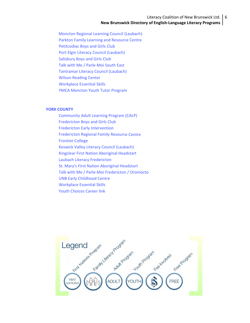### Literacy Coalition of New Brunswick Ltd. 6 **New Brunswick Directory of English‐Language Literacy Programs**

Moncton Regional Learning Council [\(Laubach\)](#page-40-0) Parkton Family Learning and [Resource](#page-40-0) Centre [Petitcodiac](#page-41-0) Boys and Girls Club Port Elgin Literacy Council [\(Laubach\)](#page-41-0) [Salisbury](#page-41-0) Boys and Girls Club Talk with Me / Parle‐Moi [South](#page-42-0) East [Tantramar](#page-42-0) Literacy Council (Laubach) Wilson [Reading](#page-42-0) Center [Workplace](#page-43-0) Essential Skills YMCA [Moncton](#page-43-0) Youth Tutor Program

#### **YORK [COUNTY](#page-44-0)**

[Community](#page-44-0) Adult Learning Program (CALP) [Fredericton](#page-44-0) Boys and Girls Club Fredericton Early [Intervention](#page-45-0) [Fredericton](#page-45-0) Regional Family Resource Centre [Frontier](#page-45-0) College Keswick Valley Literacy Council [\(Laubach\)](#page-46-0) Kingclear First Nation [Aboriginal](#page-46-0) Headstart Laubach Literacy [Fredericton](#page-46-0) St. Mary's First Nation [Aboriginal](#page-46-0) Headstart Talk with Me / Parle‐Moi [Fredericton](#page-47-0) / Oromocto UNB Early [Childhood](#page-47-0) Centre [Workplace](#page-47-0) Essential Skills Youth [Choices](#page-48-0) Career link

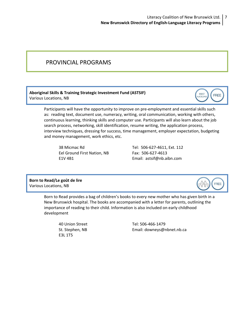## <span id="page-6-0"></span>PROVINCIAL PROGRAMS

### **Aboriginal Skills & Training Strategic Investment Fund (ASTSIF)** Various Locations, NB

Participants will have the opportunity to improve on pre‐employment and essential skills such as: reading text, document use, numeracy, writing, oral communication, working with others, continuous learning, thinking skills and computer use. Participants will also learn about the job search process, networking, skill identification, resume writing, the application process, interview techniques, dressing for success, time management, employer expectation, budgeting and money management, work ethics, etc.

Eel Ground First Nation, NB Fax: 506-627-4613

38 Micmac Rd Tel: 506‐627‐4611, Ext. 112 E1V 4B1 Email: [astsif@nb.aibn.com](mailto:astsif@nb.aibn.com)

### **Born to Read/Le goût de lire** Various Locations, NB

Born to Read provides a bag of children's books to every new mother who has given birth in a New Brunswick hospital. The books are accompanied with a letter for parents, outlining the importance of reading to their child. Information is also included on early childhood development

E3L 1T5

40 Union Street Tel: 506‐466‐1479 St. Stephen, NB 
Email: [downeys@nbnet.nb.ca](mailto:downeys@nbnet.nb.ca)



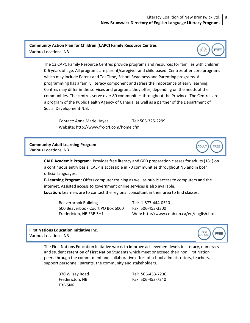### **Community Action Plan for Children (CAPC) Family Resource Centres** Various Locations, NB

The 13 CAPC Family Resource Centres provide programs and resources for families with children 0‐6 years of age. All programs are parent/caregiver and child based. Centres offer core programs which may include Parent and Tot Time, School Readiness and Parenting programs. All programming has a family literacy component and stress the importance of early learning. Centres may differ in the services and programs they offer, depending on the needs of their communities. The centres serve over 80 communities throughout the Province. The Centres are a program of the Public Health Agency of Canada, as well as a partner of the Department of Social Development N.B.

Contact: Anna Marie Hayes Tel: 506‐325‐2299 Website: http://www.frc‐[crf.com/home.cfm](http://www.frc%E2%80%90crf.com/home.cfm)

**Community Adult Learning Program** Various Locations, NB

<span id="page-7-0"></span>



FREE

**CALP Academic Program**: Provides free literacy and GED preparation classes for adults (18+) on a continuous entry basis. CALP is accessible in 70 communities throughout NB and in both official languages.

**E‐Learning Program:** Offers computer training as well as public access to computers and the internet. Assisted access to government online services is also available.

**Location:** Learners are to contact the regional consultant in their area to find classes.

Beaverbrook Building Tel: 1-877-444-0510 500 Beaverbook Court PO Box 6000 Fax: 506‐453‐3300

Fredericton, NB E3B 5H1 Web: <http://www.cnbb.nb.ca/en/english.htm>

**First Nations Education Initiative Inc.** Various Locations, NB



The First Nations Education Initiative works to improve achievement levels in literacy, numeracy and student retention of First Nation Students which meet or exceed their non First Nation peers through the commitment and collaborative effort of school administrators, teachers, support personnel, parents, the community and stakeholders.

E3B 5N6

370 Wilsey Road Tel: 506‐453‐7230 Fredericton, NB Fax: 506‐453‐7240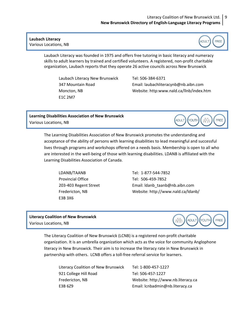### <span id="page-8-0"></span>**Laubach Literacy** Various Locations, NB



Laubach Literacy was founded in 1975 and offers free tutoring in basic literacy and numeracy skills to adult learners by trained and certified volunteers. A registered, non‐profit charitable organization, Laubach reports that they operate 26 active councils across New Brunswick

 Laubach Literacy New Brunswick Tel: 506‐384‐6371 E1C 2M7

 347 Mountain Road Email: [laubachliteracynb@nb.aibn.com](mailto:laubachliteracynb@nb.aibn.com) Moncton, NB Website: http[:www.nald.ca/llnb/index.htm](http://www.nald.ca/llnb/index.htm)

### **Learning Disabilities Association of New Brunswick** Various Locations, NB



The Learning Disabilities Association of New Brunswick promotes the understanding and acceptance of the ability of persons with learning disabilities to lead meaningful and successful lives through programs and workshops offered on a needs basis. Membership is open to all who are interested in the well‐being of those with learning disabilities. LDANB is affiliated with the Learning Disabilities Association of Canada.

 LDANB/TAANB Tel: 1‐877‐544‐7852 Provincial Office Tel: 506-459-7852 E3B 3X6

 203‐403 Regent Street Email: [ldanb\\_taanb@nb.aibn.com](mailto:ldanb_taanb@nb.aibn.com) Fredericton, NB Website: <http://www.nald.ca/ldanb/>

### **Literacy Coalition of New Brunswick** Various Locations, NB



The Literacy Coalition of New Brunswick (LCNB) is a registered non‐profit charitable organization. It is an umbrella organization which acts as the voice for community Anglophone literacy in New Brunswick. Their aim is to increase the literacy rate in New Brunswick in partnership with others. LCNB offers a toll-free referral service for learners.

| Literacy Coalition of New Brunswick | Tel: 1-800-457-1227                |
|-------------------------------------|------------------------------------|
| 921 College Hill Road               | Tel: 506-457-1227                  |
| Fredericton, NB                     | Website: http://www.nb.literacy.ca |
| E3B 6Z9                             | Email: Icnbadmin@nb.literacy.ca    |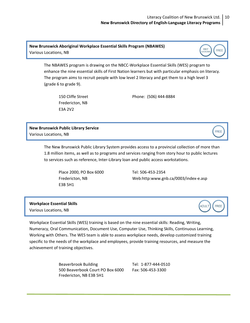FIRST<br>NATIONS

FREE

**FREE** 

FREE

ADULT

**New Brunswick Aboriginal Workplace Essential Skills Program (NBAWES)** Various Locations, NB

> The NBAWES program is drawing on the NBCC‐Workplace Essential Skills (WES) program to enhance the nine essential skills of First Nation learners but with particular emphasis on literacy. The program aims to recruit people with low level 2 literacy and get them to a high level 3 (grade 6 to grade 9).

Fredericton, NB E3A 2V2

150 Cliffe Street Phone: (506) 444‐8884

**New Brunswick Public Library Service** Various Locations, NB

<span id="page-9-0"></span>

The New Brunswick Public Library System provides access to a provincial collection of more than 1.8 million items, as well as to programs and services ranging from story hour to public lectures to services such as reference, Inter‐Library loan and public access workstations.

 Place 2000, PO Box 6000 Tel: 506‐453‐2354 E3B 5H1

Fredericton, NB Web:http:[www.gnb.ca/0003/index](http://www.gnb.ca/0003/index%E2%80%90e.asp)‐e.asp

**Workplace Essential Skills** Various Locations, NB

Workplace Essential Skills (WES) training is based on the nine essential skills: Reading, Writing, Numeracy, Oral Communication, Document Use, Computer Use, Thinking Skills, Continuous Learning, Working with Others. The WES team is able to assess workplace needs, develop customized training specific to the needs of the workplace and employees, provide training resources, and measure the achievement of training objectives.

> Beaverbrook Building Tel: 1-877-444-0510 500 Beaverbook Court PO Box 6000 Fax: 506‐453‐3300 Fredericton, NB E3B 5H1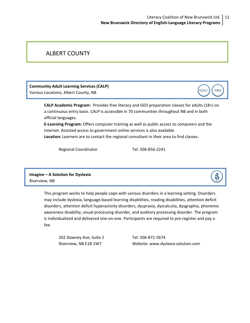## <span id="page-10-0"></span>ALBERT COUNTY

**Community Adult Learning Services (CALP)** Various Locations, Albert County, NB

> **CALP Academic Program:** Provides free literacy and GED preparation classes for adults (18+) on a continuous entry basis. CALP is accessible in 70 communities throughout NB and in both official languages.

**E‐Learning Program:** Offers computer training as well as public access to computers and the internet. Assisted access to government online services is also available. **Location:** Learners are to contact the regional consultant in their area to find classes.

Regional Coordinator Tel: 506-856-2241

**Imagine – A Solution for Dyslexia** Riverview, NB

> This program works to help people cope with various disorders in a learning setting. Disorders may include dyslexia, language‐based learning disabilities, reading disabilities, attention deficit disorders, attention deficit hyperactivity disorders, dyspraxia, dyscalculia, dysgraphia, phonemic awareness disability, visual processing disorder, and auditory processing disorder. The program is individualized and delivered one‐on‐one. Participants are required to pre‐register and pay a fee.

202 Downey Ave, Suite 2 Tel: 506‐871‐5674

Riverview, NB E1B 1W7 Website: [www.dyslexia](http://www.dyslexia%E2%80%90solution.com)‐solution.com



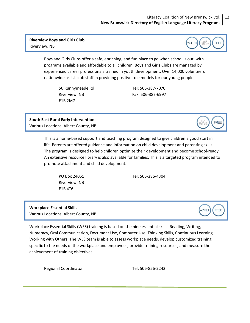### Literacy Coalition of New Brunswick Ltd. 12 **New Brunswick Directory of English‐Language Literacy Programs**

### <span id="page-11-0"></span>**Riverview Boys and Girls Club** Riverview, NB



Boys and Girls Clubs offer a safe, enriching, and fun place to go when school is out, with programs available and affordable to all children. Boys and Girls Clubs are managed by experienced career professionals trained in youth development. Over 14,000 volunteers nationwide assist club staff in providing positive role models for our young people.

50 Runnymeade Rd Tel: 506‐387‐7070 Riverview, NB Fax: 506‐387‐6997 E1B 2M7

**South East Rural Early Intervention** Various Locations, Albert County, NB

> This is a home‐based support and teaching program designed to give children a good start in life. Parents are offered guidance and information on child development and parenting skills. The program is designed to help children optimize their development and become school‐ready. An extensive resource library is also available for families. This is a targeted program intended to promote attachment and child development.

Riverview, NB E1B 4T6

PO Box 24051 Tel: 506‐386‐4304

### **Workplace Essential Skills** Various Locations, Albert County, NB



Workplace Essential Skills (WES) training is based on the nine essential skills: Reading, Writing, Numeracy, Oral Communication, Document Use, Computer Use, Thinking Skills, Continuous Learning, Working with Others. The WES team is able to assess workplace needs, develop customized training specific to the needs of the workplace and employees, provide training resources, and measure the achievement of training objectives.

Regional Coordinator Tel: 506‐856‐2242

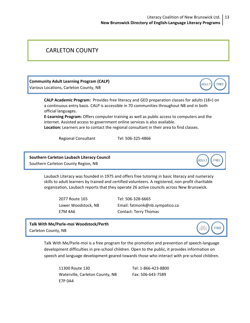## <span id="page-12-0"></span>CARLETON COUNTY

**Community Adult Learning Program (CALP)**

Various Locations, Carleton County, NB

**CALP Academic Program:** Provides free literacy and GED preparation classes for adults (18+) on a continuous entry basis. CALP is accessible in 70 communities throughout NB and in both official languages.

**E‐Learning Program:** Offers computer training as well as public access to computers and the internet. Assisted access to government online services is also available.

**Location:** Learners are to contact the regional consultant in their area to find classes.

Regional Consultant Tel: 506-325-4866

**Southern Carleton Laubach Literacy Council** Southern Carleton County Region, NB



ADULT

FREE

Laubach Literacy was founded in 1975 and offers free tutoring in basic literacy and numeracy skills to adult learners by trained and certified volunteers. A registered, non‐profit charitable organization, Laubach reports that they operate 26 active councils across New Brunswick.

2077 Route 165 Tel: 506‐328‐6665

Lower Woodstock, NB Email: [fatmonk@nb.sympatico.ca](mailto:fatmonk@nb.sympatico.ca) E7M 4A6 Contact: Terry Thomas

**Talk With Me/Parle‐moi Woodstock/Perth** Carleton County, NB



Talk With Me/Parle‐moi is a free program for the promotion and prevention of speech‐language development difficulties in pre‐school children. Open to the public, it provides information on speech and language development geared towards those who interact with pre‐school children.

11300 Route 130 Tel: 1‐866‐423‐8800 Waterville, Carleton County, NB Fax: 506-643-7589 E7P 0A4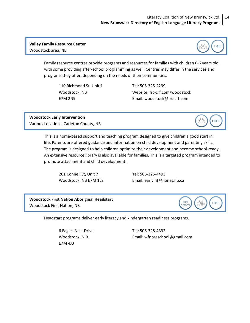<span id="page-13-0"></span>**Valley Family Resource Center** Woodstock area, NB



Family resource centres provide programs and resources for families with children 0‐6 years old, with some providing after‐school programming as well. Centres may differ in the services and programs they offer, depending on the needs of their communities.

110 Richmond St, Unit 1 Tel: 506‐325‐2299

Woodstock, NB Website: frc‐crf.com/woodstock E7M 2N9 Email: [woodstock@frc](mailto:woodstock@frc%E2%80%90crf.com)‐crf.com

**Woodstock Early Intervention**  Various Locations, Carleton County, NB

> This is a home‐based support and teaching program designed to give children a good start in life. Parents are offered guidance and information on child development and parenting skills. The program is designed to help children optimize their development and become school‐ready. An extensive resource library is also available for families. This is a targeted program intended to promote attachment and child development.

261 Connell St, Unit 7 Tel: 506‐325‐4493

Woodstock, NB E7M 1L2 Email: [earlyint@nbnet.nb.ca](mailto:earlyint@nbnet.nb.ca)

**Woodstock First Nation Aboriginal Headstart** Woodstock First Nation, NB



tÖÜt

**FREE** 

Headstart programs deliver early literacy and kindergarten readiness programs.

6 Eagles Nest Drive Tel: 506‐328‐4332 E7M 4J3

Woodstock, N.B. Email: [wfnpreschool@gmail.com](mailto:wfnpreschool@gmail.com)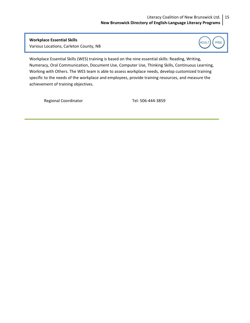**Workplace Essential Skills** Various Locations, Carleton County, NB

<span id="page-14-0"></span>



Workplace Essential Skills (WES) training is based on the nine essential skills: Reading, Writing, Numeracy, Oral Communication, Document Use, Computer Use, Thinking Skills, Continuous Learning, Working with Others. The WES team is able to assess workplace needs, develop customized training specific to the needs of the workplace and employees, provide training resources, and measure the achievement of training objectives.

Regional Coordinator Tel: 506‐444‐3859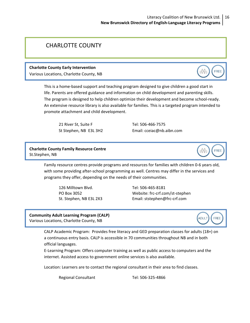## <span id="page-15-0"></span>CHARLOTTE COUNTY

### **Charlotte County Early Intervention**

Various Locations, Charlotte County, NB

This is a home‐based support and teaching program designed to give children a good start in life. Parents are offered guidance and information on child development and parenting skills. The program is designed to help children optimize their development and become school-ready. An extensive resource library is also available for families. This is a targeted program intended to promote attachment and child development.

21 River St, Suite F Tel: 506‐466‐7575

St Stephen, NB E3L 3H2 Email: [cceiac@nb.aibn.com](mailto:cceiac@nb.aibn.com)

**Charlotte County Family Resource Centre** St.Stephen, NB

> Family resource centres provide programs and resources for families with children 0‐6 years old, with some providing after-school programming as well. Centres may differ in the services and programs they offer, depending on the needs of their communities.

126 Milltown Blvd. Tel: 506‐465‐8181

PO Box 3052 Website: frc‐crf.com/st‐stephen St. Stephen, NB E3L 2X3 Email: [ststephen@frc](mailto:ststephen@frc%E2%80%90crf.com)-crf.com

**Community Adult Learning Program (CALP)** Various Locations, Charlotte County, NB



**FREE** 

**FREE** 

t Pr

CALP Academic Program: Provides free literacy and GED preparation classes for adults (18+) on a continuous entry basis. CALP is accessible in 70 communities throughout NB and in both official languages.

E‐Learning Program: Offers computer training as well as public access to computers and the internet. Assisted access to government online services is also available.

Location: Learners are to contact the regional consultant in their area to find classes.

Regional Consultant Tel: 506-325-4866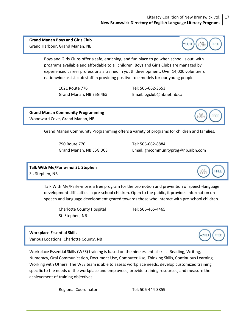### Literacy Coalition of New Brunswick Ltd. 17 **New Brunswick Directory of English‐Language Literacy Programs**

**YOUTH** 

000o

**FREE** 

### <span id="page-16-0"></span>**Grand Manan Boys and Girls Club** Grand Harbour, Grand Manan, NB

Boys and Girls Clubs offer a safe, enriching, and fun place to go when school is out, with programs available and affordable to all children. Boys and Girls Clubs are managed by experienced career professionals trained in youth development. Over 14,000 volunteers nationwide assist club staff in providing positive role models for our young people.

1021 Route 776 Tel: 506‐662‐3653

Grand Manan, NB E5G 4E5 Email: [bgclub@nbnet.nb.ca](mailto:bgclub@nbnet.nb.ca)

**Grand Manan Community Programming** Woodward Cove, Grand Manan, NB



Grand Manan Community Programming offers a variety of programs for children and families.

790 Route 776 Tel: 506‐662‐8884

Grand Manan, NB E5G 3C3 Email: [gmcommunityprog@nb.aibn.com](mailto:gmcommunityprog@nb.aibn.com)

**Talk With Me/Parle‐moi St. Stephen** St. Stephen, NB

> Talk With Me/Parle‐moi is a free program for the promotion and prevention of speech‐language development difficulties in pre‐school children. Open to the public, it provides information on speech and language development geared towards those who interact with pre‐school children.

Charlotte County Hospital Tel: 506‐465‐4465 St. Stephen, NB

### **Workplace Essential Skills**

Various Locations, Charlotte County, NB

Workplace Essential Skills (WES) training is based on the nine essential skills: Reading, Writing, Numeracy, Oral Communication, Document Use, Computer Use, Thinking Skills, Continuous Learning, Working with Others. The WES team is able to assess workplace needs, develop customized training specific to the needs of the workplace and employees, provide training resources, and measure the achievement of training objectives.

Regional Coordinator Tel: 506-444-3859





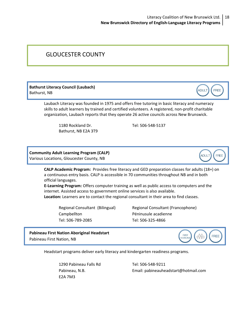## <span id="page-17-0"></span>GLOUCESTER COUNTY

**Bathurst Literacy Council (Laubach)** Bathurst, NB

> Laubach Literacy was founded in 1975 and offers free tutoring in basic literacy and numeracy skills to adult learners by trained and certified volunteers. A registered, non‐profit charitable organization, Laubach reports that they operate 26 active councils across New Brunswick.

1180 Rockland Dr. Tel: 506-548-5137 Bathurst, NB E2A 3T9

**Community Adult Learning Program (CALP)** Various Locations, Gloucester County, NB

> **CALP Academic Program:** Provides free literacy and GED preparation classes for adults (18+) on a continuous entry basis. CALP is accessible in 70 communities throughout NB and in both official languages.

**E‐Learning Program:** Offers computer training as well as public access to computers and the internet. Assisted access to government online services is also available. **Location:** Learners are to contact the regional consultant in their area to find classes.

Campbellton Péninusule acadienne Tel: 506‐789‐2085 Tel: 506‐325‐4866

Regional Consultant (Bilingual) Regional Consultant (Francophone)

**Pabineau First Nation Aboriginal Headstart** Pabineau First Nation, NB

Headstart programs deliver early literacy and kindergarten readiness programs.

1290 Pabineau Falls Rd Tel: 506‐548‐9211 E2A 7M3

Pabineau, N.B. Email: [pabineauheadstart@hotmail.com](mailto:pabineauheadstart@hotmail.com)



ADULT

FREE

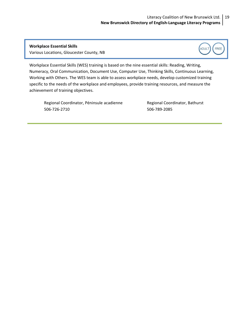**Workplace Essential Skills** Various Locations, Gloucester County, NB

<span id="page-18-0"></span>



Workplace Essential Skills (WES) training is based on the nine essential skills: Reading, Writing, Numeracy, Oral Communication, Document Use, Computer Use, Thinking Skills, Continuous Learning, Working with Others. The WES team is able to assess workplace needs, develop customized training specific to the needs of the workplace and employees, provide training resources, and measure the achievement of training objectives.

Regional Coordinator, Péninsule acadienne **Regional Coordinator, Bathurst** 506‐726‐2710 506‐789‐2085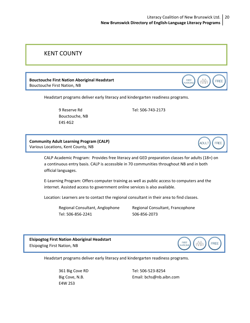### Literacy Coalition of New Brunswick Ltd. 20 **New Brunswick Directory of English‐Language Literacy Programs**

### <span id="page-19-0"></span>KENT COUNTY

### **Bouctouche First Nation Aboriginal Headstart** Bouctouche First Nation, NB

**FIRST FREE** VATION

**ADULT** 

FREE

Headstart programs deliver early literacy and kindergarten readiness programs.

 Bouctouche, NB E4S 4G2

9 Reserve Rd Tel: 506‐743‐2173

**Community Adult Learning Program (CALP)** Various Locations, Kent County, NB

> CALP Academic Program: Provides free literacy and GED preparation classes for adults (18+) on a continuous entry basis. CALP is accessible in 70 communities throughout NB and in both official languages.

E‐Learning Program: Offers computer training as well as public access to computers and the internet. Assisted access to government online services is also available.

Location: Learners are to contact the regional consultant in their area to find classes.

Tel: 506‐856‐2241 506‐856‐2073

Regional Consultant, Anglophone Regional Consultant, Francophone

**Elsipogtog First Nation Aboriginal Headstart** Elsipogtog First Nation, NB



Headstart programs deliver early literacy and kindergarten readiness programs.

E4W 2S3

 361 Big Cove RD Tel: 506‐523‐8254 Big Cove, N.B. Sandbook and Email: [bchs@nb.aibn.com](mailto:bchs@nb.aibn.com)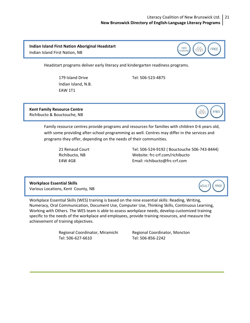### Literacy Coalition of New Brunswick Ltd. 21 **New Brunswick Directory of English‐Language Literacy Programs**

FIRST<br>NATIONS

### <span id="page-20-0"></span>**Indian Island First Nation Aboriginal Headstart** Indian Island First Nation, NB

Headstart programs deliver early literacy and kindergarten readiness programs.

 Indian Island, N.B. EAW 1T1

179 Island Drive Tel: 506‐523‐4875

**Kent Family Resource Centre** Richibucto & Bouctouche, NB



**FREE** 

Family resource centres provide programs and resources for families with children 0‐6 years old, with some providing after-school programming as well. Centres may differ in the services and programs they offer, depending on the needs of their communities.

21 Renaud Court Tel: 506‐524‐9192 ( Bouctouche 506‐743‐8444) Richibucto, NB Website: frc‐crf.com/richibucto E4W 4G8 Email: [richibucto@frc](mailto:richibucto@frc%E2%80%90crf.com)‐crf.com

**Workplace Essential Skills** Various Locations, Kent County, NB

**ADULT FREE** 

Workplace Essential Skills (WES) training is based on the nine essential skills: Reading, Writing, Numeracy, Oral Communication, Document Use, Computer Use, Thinking Skills, Continuous Learning, Working with Others. The WES team is able to assess workplace needs, develop customized training specific to the needs of the workplace and employees, provide training resources, and measure the achievement of training objectives.

> Regional Coordinator, Miramichi Regional Coordinator, Moncton Tel: 506‐627‐6610 Tel: 506‐856‐2242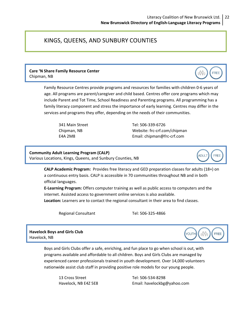### <span id="page-21-0"></span>KINGS, QUEENS, AND SUNBURY COUNTIES

### **Care 'N Share Family Resource Center**  Chipman, NB

Family Resource Centres provide programs and resources for families with children 0‐6 years of age. All programs are parent/caregiver and child based. Centres offer core programs which may include Parent and Tot Time, School Readiness and Parenting programs. All programming has a family literacy component and stress the importance of early learning. Centres may differ in the services and programs they offer, depending on the needs of their communities.

341 Main Street Tel: 506‐339‐6726 Chipman, NB Website: frc‐crf.com/chipman E4A 2M8 Email: [chipman@frc](mailto:chipman@frc%E2%80%90crf.com)‐crf.com

**Community Adult Learning Program (CALP)** Various Locations, Kings, Queens, and Sunbury Counties, NB

> **CALP Academic Program:** Provides free literacy and GED preparation classes for adults (18+) on a continuous entry basis. CALP is accessible in 70 communities throughout NB and in both official languages.

**E‐Learning Program:** Offers computer training as well as public access to computers and the internet. Assisted access to government online services is also available.

**Location:** Learners are to contact the regional consultant in their area to find classes.

Regional Consultant Tel: 506-325-4866

**Havelock Boys and Girls Club** Havelock, NB

> Boys and Girls Clubs offer a safe, enriching, and fun place to go when school is out, with programs available and affordable to all children. Boys and Girls Clubs are managed by experienced career professionals trained in youth development. Over 14,000 volunteers nationwide assist club staff in providing positive role models for our young people.

13 Cross Street Tel: 506‐534‐8298

Havelock, NB E4Z 5E8 Email: [havelockbg@yahoo.com](mailto:havelockbg@yahoo.com)



**ADULT** 

**FREE** 

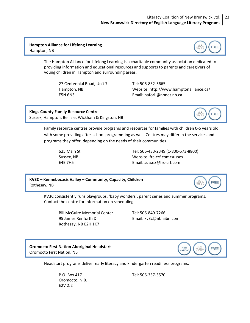<span id="page-22-0"></span>**Hampton Alliance for Lifelong Learning** Hampton, NB

> The Hampton Alliance for Lifelong Learning is a charitable community association dedicated to providing information and educational resources and supports to parents and caregivers of young children in Hampton and surrounding areas.

27 Centennial Road, Unit 7 Tel: 506‐832‐5665

Hampton, NB Website: <http://www.hamptonalliance.ca/> E5N 6N3 Email: [haforll@nbnet.nb.ca](mailto:haforll@nbnet.nb.ca)

**Kings County Family Resource Centre** Sussex, Hampton, Bellisle, Wickham & Kingston, NB

> Family resource centres provide programs and resources for families with children 0‐6 years old, with some providing after-school programming as well. Centres may differ in the services and programs they offer, depending on the needs of their communities.

625 Main St Tel: 506‐433‐2349 (1‐800‐573‐8800) Sussex, NB Website: frc‐crf.com/sussex E4E 7H5 Email: [sussex@frc](mailto:sussex@frc%E2%80%90crf.com)-crf.com

**KV3C – Kennebecasis Valley – Community, Capacity, Children** Rothesay, NB

> KV3C consistently runs playgroups, 'baby wonders', parent series and summer programs. Contact the centre for information on scheduling.

Bill McGuire Memorial Center Tel: 506-849-7266 95 James Renforth Dr Email: [kv3c@nb.aibn.com](mailto:kv3c@nb.aibn.com) Rothesay, NB E2H 1K7

**Oromocto First Nation Aboriginal Headstart** Oromocto First Nation, NB

Headstart programs deliver early literacy and kindergarten readiness programs.

 Oromocto, N.B. E2V 2J2

P.O. Box 417 Tel: 506‐357‐3570





**FREE** 

0990

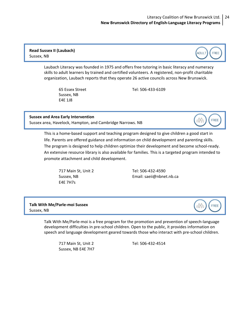### <span id="page-23-0"></span>**Read Sussex II (Laubach)** Sussex, NB

Laubach Literacy was founded in 1975 and offers free tutoring in basic literacy and numeracy skills to adult learners by trained and certified volunteers. A registered, non‐profit charitable organization, Laubach reports that they operate 26 active councils across New Brunswick.

Sussex, NB E4E 1J8

65 Essex Street Tel: 506‐433‐6109

### **Sussex and Area Early Intervention**

Sussex area, Havelock, Hampton, and Cambridge Narrows. NB

This is a home‐based support and teaching program designed to give children a good start in life. Parents are offered guidance and information on child development and parenting skills. The program is designed to help children optimize their development and become school-ready. An extensive resource library is also available for families. This is a targeted program intended to promote attachment and child development.

717 Main St, Unit 2 Tel: 506‐432‐4590 E4E 7H7s

Sussex, NB Email: [saeii@nbnet.nb.ca](mailto:saeii@nbnet.nb.ca)

**Talk With Me/Parle‐moi Sussex** Sussex, NB

> Talk With Me/Parle‐moi is a free program for the promotion and prevention of speech‐language development difficulties in pre‐school children. Open to the public, it provides information on speech and language development geared towards those who interact with pre‐school children.

717 Main St, Unit 2 Tel: 506‐432‐4514 Sussex, NB E4E 7H7





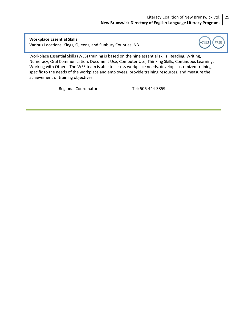### Literacy Coalition of New Brunswick Ltd. 25 **New Brunswick Directory of English‐Language Literacy Programs**

<span id="page-24-0"></span> **Workplace Essential Skills** Various Locations, Kings, Queens, and Sunbury Counties, NB



Workplace Essential Skills (WES) training is based on the nine essential skills: Reading, Writing, Numeracy, Oral Communication, Document Use, Computer Use, Thinking Skills, Continuous Learning, Working with Others. The WES team is able to assess workplace needs, develop customized training specific to the needs of the workplace and employees, provide training resources, and measure the achievement of training objectives.

Regional Coordinator Tel: 506-444-3859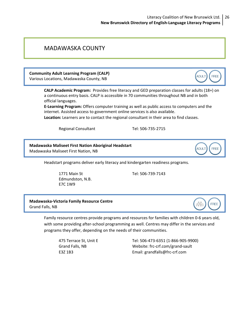### <span id="page-25-0"></span>MADAWASKA COUNTY

**Community Adult Learning Program (CALP)** Various Locations, Madawaska County, NB

> **CALP Academic Program:** Provides free literacy and GED preparation classes for adults (18+) on a continuous entry basis. CALP is accessible in 70 communities throughout NB and in both official languages.

**E‐Learning Program:** Offers computer training as well as public access to computers and the internet. Assisted access to government online services is also available.

**Location:** Learners are to contact the regional consultant in their area to find classes.

Regional Consultant Tel: 506-735-2715

**Madawaska Maliseet First Nation Aboriginal Headstart** Madawaska Maliseet First Nation, NB

Headstart programs deliver early literacy and kindergarten readiness programs.

1771 Main St Tel: 506‐739‐7143 Edmundston, N.B. E7C 1W9

**Madawaska‐Victoria Family Resource Centre** Grand Falls, NB



ADULT

**ADULT** 

FREE

**FREE** 

Family resource centres provide programs and resources for families with children 0‐6 years old, with some providing after-school programming as well. Centres may differ in the services and programs they offer, depending on the needs of their communities.

475 Terrace St, Unit E Tel: 506‐473‐6351 (1‐866‐905‐9900) Grand Falls, NB Website: frc‐crf.com/grand‐sault E3Z 1B3 Email: [grandfalls@frc](mailto:grandfalls@frc%E2%80%90crf.com)‐crf.com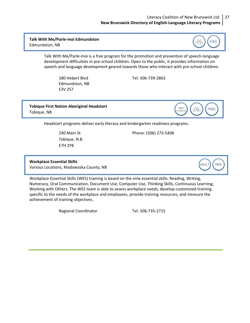### Literacy Coalition of New Brunswick Ltd. 27 **New Brunswick Directory of English‐Language Literacy Programs**

<span id="page-26-0"></span>**Talk With Me/Parle‐moi Edmundston** Edmundston, NB



Talk With Me/Parle‐moi is a free program for the promotion and prevention of speech‐language development difficulties in pre‐school children. Open to the public, it provides information on speech and language development geared towards those who interact with pre‐school children.

Edmundston, NB E3V 2S7

180 Hebert Blvd Tel: 506‐739‐2863

**Tobique First Nation Aboriginal Headstart** Tobique, NB



Headstart programs deliver early literacy and kindergarten readiness programs.

240 Main St Phone: (506) 273‐5408 Tobique, N.B. E7H 2Y8

 **Workplace Essential Skills**

Various Locations, Madawaska County, NB



Workplace Essential Skills (WES) training is based on the nine essential skills: Reading, Writing, Numeracy, Oral Communication, Document Use, Computer Use, Thinking Skills, Continuous Learning, Working with Others. The WES team is able to assess workplace needs, develop customized training specific to the needs of the workplace and employees, provide training resources, and measure the achievement of training objectives.

Regional Coordinator Tel: 506-735-2715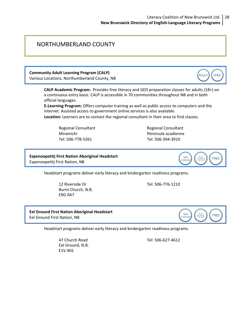### <span id="page-27-0"></span>NORTHUMBERLAND COUNTY

**Community Adult Learning Program (CALP)** Various Locations, Northumberland County, NB

> **CALP Academic Program:** Provides free literacy and GED preparation classes for adults (18+) on a continuous entry basis. CALP is accessible in 70 communities throughout NB and in both official languages.

**E‐Learning Program:** Offers computer training as well as public access to computers and the internet. Assisted access to government online services is also available.

**Location:** Learners are to contact the regional consultant in their area to find classes.

Tel: 506‐778‐5261 Tel: 506‐394‐3910

Regional Consultant 
Regional Consultant Miramichi Péninsule acadienne

**FIRST** 

VATIONS

**Espenoopetitj First Nation Aboriginal Headstart** Espenoopetitj First Nation, NB

Headstart programs deliver early literacy and kindergarten readiness programs.

 12 Riverside Dr Tel: 506‐776‐1210 Burnt Church, N.B. E9G 0A7

**Eel Ground First Nation Aboriginal Headstart** Eel Ground First Nation, NB

Headstart programs deliver early literacy and kindergarten readiness programs.

 Eel Ground, N.B. E1V 4E6



47 Church Road Tel: 506‐627‐4612



**FREE**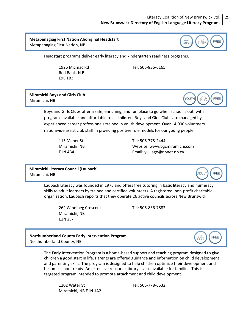### Literacy Coalition of New Brunswick Ltd. 29 **New Brunswick Directory of English‐Language Literacy Programs**

### <span id="page-28-0"></span>**Metapenagiag First Nation Aboriginal Headstart** Metapenagiag First Nation, NB



Headstart programs deliver early literacy and kindergarten readiness programs.

 Red Bank, N.B. E9E 1B3

1926 Micmac Rd Tel: 506‐836‐6165

**Miramichi Boys and Girls Club** Miramichi, NB



Boys and Girls Clubs offer a safe, enriching, and fun place to go when school is out, with programs available and affordable to all children. Boys and Girls Clubs are managed by experienced career professionals trained in youth development. Over 14,000 volunteers nationwide assist club staff in providing positive role models for our young people.

115 Maher St Tel: 506‐778‐2444 Miramichi, NB Website: [www.bgcmiramichi.com](http://www.bgcmiramichi.com) E1N 4B4 Email: [yvillage@nbnet.nb.ca](mailto:yvillage@nbnet.nb.ca)

**Miramichi Literacy Council** (Laubach) Miramichi, NB



Laubach Literacy was founded in 1975 and offers free tutoring in basic literacy and numeracy skills to adult learners by trained and certified volunteers. A registered, non‐profit charitable organization, Laubach reports that they operate 26 active councils across New Brunswick.

262 Winnipeg Crescent Tel: 506‐836‐7882 Miramichi, NB E1N 2L7

### **Northumberland County Early Intervention Program** Northumberland County, NB

The Early Intervention Program is a home-based support and teaching program designed to give children a good start in life. Parents are offered guidance and information on child development and parenting skills. The program is designed to help children optimize their development and become school‐ready. An extensive resource library is also available for families. This is a targeted program intended to promote attachment and child development.

1202 Water St Tel: 506‐778‐6532 Miramichi, NB E1N 1A2

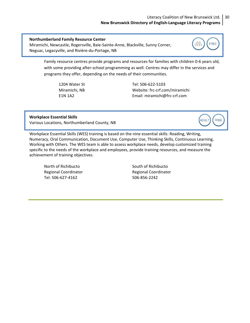### Literacy Coalition of New Brunswick Ltd. 30 **New Brunswick Directory of English‐Language Literacy Programs**

### <span id="page-29-0"></span>**Northumberland Family Resource Center**

Miramichi, Newcastle, Rogersville, Baie‐Sainte‐Anne, Blackville, Sunny Corner, Neguac, Legacyville, and Rivière‐du‐Portage, NB

> Family resource centres provide programs and resources for families with children 0‐6 years old, with some providing after‐school programming as well. Centres may differ in the services and programs they offer, depending on the needs of their communities.

1204 Water St Tel: 506‐622‐5103 Miramichi, NB Website: frc‐crf.com/miramichi E1N 1A2 Email: [miramichi@frc](mailto:miramichi@frc%E2%80%90crf.com)‐crf.com

**Workplace Essential Skills** Various Locations, Northumberland County, NB

Workplace Essential Skills (WES) training is based on the nine essential skills: Reading, Writing, Numeracy, Oral Communication, Document Use, Computer Use, Thinking Skills, Continuous Learning, Working with Others. The WES team is able to assess workplace needs, develop customized training specific to the needs of the workplace and employees, provide training resources, and measure the achievement of training objectives.

North of Richibucto **South of Richibucto South of Richibucto** Tel: 506‐627‐4162 506‐856‐2242

Regional Coordinator **Same Coordinator** 
Regional Coordinator



**ADULT FREE** 

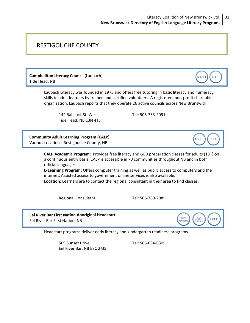## <span id="page-30-0"></span>RESTIGOUCHE COUNTY

**Campbellton Literacy Council** (Laubach) Tide Head, NB

> Laubach Literacy was founded in 1975 and offers free tutoring in basic literacy and numeracy skills to adult learners by trained and certified volunteers. A registered, non‐profit charitable organization, Laubach reports that they operate 26 active councils across New Brunswick.

142 Babcock St. West Tel: 506‐753‐2091 Tide Head, NB E3N 4T5

**Community Adult Learning Program (CALP)** Various Locations, Restigouche County, NB

> **CALP Academic Program:** Provides free literacy and GED preparation classes for adults (18+) on a continuous entry basis. CALP is accessible in 70 communities throughout NB and in both official languages.

**E‐Learning Program:** Offers computer training as well as public access to computers and the internet. Assisted access to government online services is also available.

**Location:** Learners are to contact the regional consultant in their area to find classes.

Regional Consultant Tel: 506-789-2085

**Eel River Bar First Nation Aboriginal Headstart** Eel River Bar First Nation, NB



**ADULT** 

**ADULT** 

FREE

FREE

Headstart programs deliver early literacy and kindergarten readiness programs.

 509 Sunset Drive Tel: 506‐684‐6305 Eel River Bar, NB E8C 2M5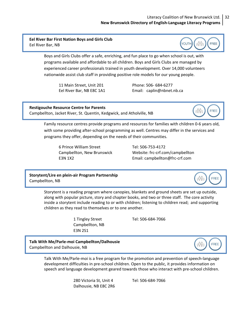### Literacy Coalition of New Brunswick Ltd. 32 **New Brunswick Directory of English‐Language Literacy Programs**

<span id="page-31-0"></span>**Eel River Bar First Nation Boys and Girls Club** Eel River Bar, NB



Boys and Girls Clubs offer a safe, enriching, and fun place to go when school is out, with programs available and affordable to all children. Boys and Girls Clubs are managed by experienced career professionals trained in youth development. Over 14,000 volunteers nationwide assist club staff in providing positive role models for our young people.

11 Main Street, Unit 201 Phone: 506‐ 684‐6277

Eel River Bar, NB E8C 1A1 Email: [caplin@nbnet.nb.ca](mailto:caplin@nbnet.nb.ca)

**Restigouche Resource Centre for Parents** Campbellton, Jacket River, St. Quentin, Kedgwick, and Atholville, NB



Family resource centres provide programs and resources for families with children 0‐6 years old, with some providing after-school programming as well. Centres may differ in the services and programs they offer, depending on the needs of their communities.

6 Prince William Street Tel: 506‐753‐4172

Campbellton, New Brunswick Website: frc‐crf.com/campbellton E3N 1X2 Email: [campbellton@frc](mailto:campbellton@frc%E2%80%90crf.com)‐crf.com

**Storytent/Lire en plein‐air Program Partnership** Campbellton, NB



**FREE** 

Storytent is a reading program where canopies, blankets and ground sheets are set up outside, along with popular picture, story and chapter books, and two or three staff. The core activity inside a storytent include reading to or with children; listening to children read; and supporting children as they read to themselves or to one another.

> Campbellton, NB E3N 2S1

1 Tingley Street Tel: 506‐684‐7066

**Talk With Me/Parle‐moi Campbellton/Dalhousie** Campbellton and Dalhousie, NB

> Talk With Me/Parle‐moi is a free program for the promotion and prevention of speech‐language development difficulties in pre‐school children. Open to the public, it provides information on speech and language development geared towards those who interact with pre‐school children.

> > 280 Victoria St, Unit 4 Tel: 506‐684‐7066 Dalhousie, NB E8C 2R6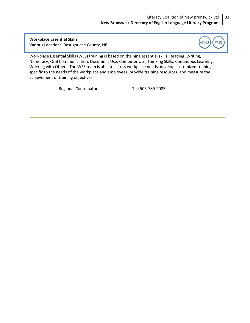**Workplace Essential Skills** Various Locations, Restigouche County, NB

<span id="page-32-0"></span>



Workplace Essential Skills (WES) training is based on the nine essential skills: Reading, Writing, Numeracy, Oral Communication, Document Use, Computer Use, Thinking Skills, Continuous Learning, Working with Others. The WES team is able to assess workplace needs, develop customized training specific to the needs of the workplace and employees, provide training resources, and measure the achievement of training objectives.

Regional Coordinator Tel: 506-789-2085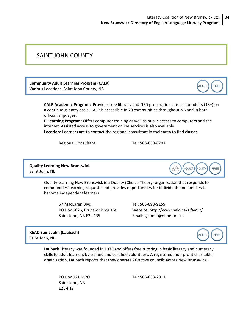## <span id="page-33-0"></span>SAINT JOHN COUNTY

**Community Adult Learning Program (CALP)** Various Locations, Saint John County, NB

> **CALP Academic Program:** Provides free literacy and GED preparation classes for adults (18+) on a continuous entry basis. CALP is accessible in 70 communities throughout NB and in both official languages.

**E‐Learning Program:** Offers computer training as well as public access to computers and the internet. Assisted access to government online services is also available.

**Location:** Learners are to contact the regional consultant in their area to find classes.

Regional Consultant Tel: 506-658-6701

**Quality Learning New Brunswick** Saint John, NB

> Quality Learning New Brunswick is a Quality (Choice Theory) organization that responds to communities' learning requests and provides opportunities for individuals and families to become independent learners.

57 MacLaren Blvd. Tel: 506‐693‐9159 Saint John, NB E2L 4R5 Email: [sjfamlit@nbnet.nb.ca](mailto:sjfamlit@nbnet.nb.ca)

PO Box 6026, Brunswick Square Website: <http://www.nald.ca/sjfamlit/>

**READ Saint John (Laubach)** Saint John, NB

> Laubach Literacy was founded in 1975 and offers free tutoring in basic literacy and numeracy skills to adult learners by trained and certified volunteers. A registered, non‐profit charitable organization, Laubach reports that they operate 26 active councils across New Brunswick.

Saint John, NB E2L 4H3

PO Box 921 MPO Tel: 506‐633‐2011





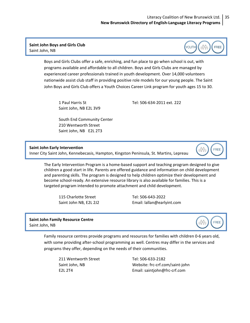### <span id="page-34-0"></span>**Saint John Boys and Girls Club** Saint John, NB

Boys and Girls Clubs offer a safe, enriching, and fun place to go when school is out, with programs available and affordable to all children. Boys and Girls Clubs are managed by experienced career professionals trained in youth development. Over 14,000 volunteers nationwide assist club staff in providing positive role models for our young people. The Saint John Boys and Girls Club offers a Youth Choices Career Link program for youth ages 15 to 30.

Saint John, NB E2L 3V9

1 Paul Harris St Tel: 506‐634‐2011 ext. 222

South End Community Center 210 Wentworth Street Saint John, NB E2L 2T3

**Saint John Early Intervention**

Inner City Saint John, Kennebecasis, Hampton, Kingston Peninsula, St. Martins, Lepreau

The Early Intervention Program is a home‐based support and teaching program designed to give children a good start in life. Parents are offered guidance and information on child development and parenting skills. The program is designed to help children optimize their development and become school-ready. An extensive resource library is also available for families. This is a targeted program intended to promote attachment and child development.

115 Charlotte Street Tel: 506‐643‐2022

Saint John NB, E2L 2J2 Email: [lallan@earlyint.com](mailto:lallan@earlyint.com)

### **Saint John Family Resource Centre** Saint John, NB

Family resource centres provide programs and resources for families with children 0‐6 years old, with some providing after-school programming as well. Centres may differ in the services and programs they offer, depending on the needs of their communities.

211 Wentworth Street Tel: 506‐633‐2182

Saint John, NB Website: frc‐crf.com/saint‐john E2L 2T4 Email: [saintjohn@frc](mailto:saintjohn@frc%E2%80%90crf.com)‐crf.com





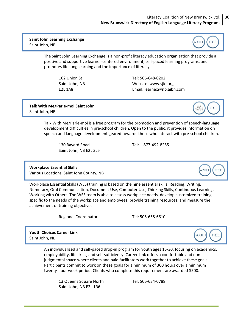### Literacy Coalition of New Brunswick Ltd. 36 **New Brunswick Directory of English‐Language Literacy Programs**

### <span id="page-35-0"></span>**Saint John Learning Exchange** Saint John, NB



The Saint John Learning Exchange is a non‐profit literacy education organization that provide a positive and supportive learner‐centered environment, self‐paced learning programs, and promotes life long learning and the importance of literacy.

162 Union St Tel: 506‐648‐0202 Saint John, NB Website: [www.sjle.org](http://www.sjle.org) E2L 1A8 Email: [learnex@nb.aibn.com](mailto:learnex@nb.aibn.com)

**Talk With Me/Parle‐moi Saint John** Saint John, NB

> Talk With Me/Parle‐moi is a free program for the promotion and prevention of speech‐language development difficulties in pre‐school children. Open to the public, it provides information on speech and language development geared towards those who interact with pre‐school children.

130 Bayard Road Tel: 1‐877‐492‐8255 Saint John, NB E2L 3L6

### **Workplace Essential Skills**

Various Locations, Saint John County, NB

Workplace Essential Skills (WES) training is based on the nine essential skills: Reading, Writing, Numeracy, Oral Communication, Document Use, Computer Use, Thinking Skills, Continuous Learning, Working with Others. The WES team is able to assess workplace needs, develop customized training specific to the needs of the workplace and employees, provide training resources, and measure the achievement of training objectives.

Regional Coordinator Tel: 506-658-6610

**Youth Choices Career Link** Saint John, NB

> An individualized and self‐paced drop‐in program for youth ages 15‐30, focusing on academics, employability, life skills, and self‐sufficiency. Career Link offers a comfortable and non‐ judgmental space where clients and paid facilitators work together to achieve these goals. Participants commit to work on these goals for a minimum of 360 hours over a minimum twenty‐ four week period. Clients who complete this requirement are awarded \$500.

13 Queens Square North Tel: 506‐634‐0788 Saint John, NB E2L 1R6



**FREE** 

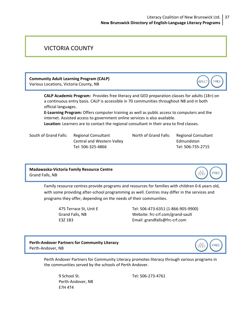### <span id="page-36-0"></span>VICTORIA COUNTY

**Community Adult Learning Program (CALP)** Various Locations, Victoria County, NB

> **CALP Academic Program:** Provides free literacy and GED preparation classes for adults (18+) on a continuous entry basis. CALP is accessible in 70 communities throughout NB and in both official languages.

**E‐Learning Program:** Offers computer training as well as public access to computers and the internet. Assisted access to government online services is also available.

**Location:** Learners are to contact the regional consultant in their area to find classes.

Central and Western Valley **Edmundston** Tel: 506‐325‐4866 Tel: 506‐735‐2715

South of Grand Falls: Regional Consultant **North of Grand Falls: Regional Consultant** 

### **Madawaska‐Victoria Family Resource Centre** Grand Falls, NB

tÖÜt FREE

FREE

**ADULT** 

Family resource centres provide programs and resources for families with children 0‐6 years old, with some providing after‐school programming as well. Centres may differ in the services and programs they offer, depending on the needs of their communities.

475 Terrace St, Unit E Tel: 506‐473‐6351 (1‐866‐905‐9900) Grand Falls, NB Website: frc‐crf.com/grand‐sault E3Z 1B3 Email: [grandfalls@frc](mailto:grandfalls@frc%E2%80%90crf.com)‐crf.com

**Perth‐Andover Partners for Community Literacy** Perth‐Andover, NB



Perth Andover Partners for Community Literacy promotes literacy through various programs in the communities served by the schools of Perth Andover.

Perth‐Andover, NB E7H 4T4

9 School St. Tel: 506‐273‐4761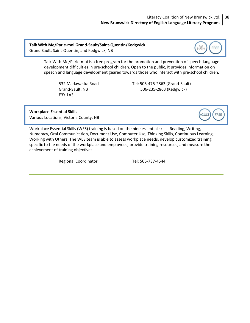#### Literacy Coalition of New Brunswick Ltd. **New Brunswick Directory of English‐Language Literacy Programs** 38

<span id="page-37-0"></span>**Talk With Me/Parle‐moi Grand‐Sault/Saint‐Quentin/Kedgwick** Grand Sault, Saint‐Quentin, and Kedgwick, NB

**FREE** t00

Talk With Me/Parle‐moi is a free program for the promotion and prevention of speech‐language development difficulties in pre‐school children. Open to the public, it provides information on speech and language development geared towards those who interact with pre‐school children.

E3Y 1A3

532 Madawaska Road Tel: 506‐475‐2863 (Grand‐Sault) Grand‐Sault, NB 506‐235‐2863 (Kedgwick)

**Workplace Essential Skills**



Various Locations, Victoria County, NB

Workplace Essential Skills (WES) training is based on the nine essential skills: Reading, Writing, Numeracy, Oral Communication, Document Use, Computer Use, Thinking Skills, Continuous Learning, Working with Others. The WES team is able to assess workplace needs, develop customized training specific to the needs of the workplace and employees, provide training resources, and measure the achievement of training objectives.

Regional Coordinator Tel: 506-737-4544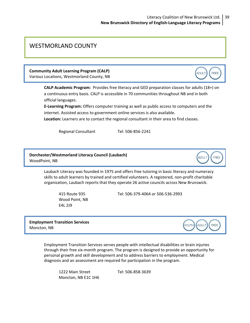### <span id="page-38-0"></span>WESTMORLAND COUNTY

**Community Adult Learning Program (CALP)**

Various Locations, Westmorland County, NB

**CALP Academic Program:** Provides free literacy and GED preparation classes for adults (18+) on a continuous entry basis. CALP is accessible in 70 communities throughout NB and in both official languages.

**E‐Learning Program:** Offers computer training as well as public access to computers and the internet. Assisted access to government online services is also available.

**Location:** Learners are to contact the regional consultant in their area to find classes.

Regional Consultant Tel: 506-856-2241

### **Dorchester/Westmorland Literacy Council (Laubach)** WoodPoint, NB

Laubach Literacy was founded in 1975 and offers free tutoring in basic literacy and numeracy skills to adult learners by trained and certified volunteers. A registered, non‐profit charitable organization, Laubach reports that they operate 26 active councils across New Brunswick.

Wood Point, NB E4L 2J9

415 Route 935 Tel: 506‐379‐4064 or 506‐536‐2993

**Employment Transition Services** Moncton, NB

**YOUTH** ADULT FREE

**ADULT** 

**FREE** 

Employment Transition Services serves people with intellectual disabilities or brain injuries through their free six‐month program. The program is designed to provide an opportunity for personal growth and skill development and to address barriers to employment. Medical diagnosis and an assessment are required for participation in the program.

1222 Main Street Tel: 506‐858‐3639 Moncton, NB E1C 1H6



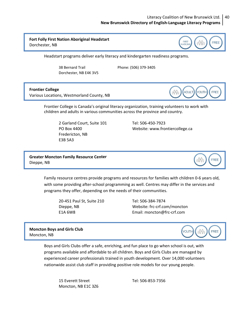### Literacy Coalition of New Brunswick Ltd. 40 **New Brunswick Directory of English‐Language Literacy Programs**

### <span id="page-39-0"></span>**Fort Folly First Nation Aboriginal Headstart** Dorchester, NB



Headstart programs deliver early literacy and kindergarten readiness programs.

 38 Bernard Trail Phone: (506) 379‐3405 Dorchester, NB E4K 3V5

### **Frontier College**

Various Locations, Westmorland County, NB



Frontier College is Canada's original literacy organization, training volunteers to work with children and adults in various communities across the province and country.

2 Garland Court, Suite 101 Tel: 506‐450‐7923 Fredericton, NB E3B 5A3

PO Box 4400 Website: [www.frontiercollege.ca](http://www.frontiercollege.ca)

**Greater Moncton Family Resource Center** Dieppe, NB



Family resource centres provide programs and resources for families with children 0‐6 years old, with some providing after-school programming as well. Centres may differ in the services and programs they offer, depending on the needs of their communities.

20‐451 Paul St, Suite 210 Tel: 506‐384‐7874

Dieppe, NB Website: frc‐crf.com/moncton E1A 6W8 Email: [moncton@frc](mailto:moncton@frc%E2%80%90crf.com)‐crf.com

**Moncton Boys and Girls Club** Moncton, NB



Boys and Girls Clubs offer a safe, enriching, and fun place to go when school is out, with programs available and affordable to all children. Boys and Girls Clubs are managed by experienced career professionals trained in youth development. Over 14,000 volunteers nationwide assist club staff in providing positive role models for our young people.

15 Everett Street Tel: 506‐853‐7356 Moncton, NB E1C 3Z6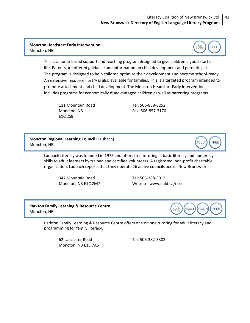### <span id="page-40-0"></span>**Moncton Headstart Early Intervention** Moncton, NB

This is a home‐based support and teaching program designed to give children a good start in life. Parents are offered guidance and information on child development and parenting skills. The program is designed to help children optimize their development and become school‐ready. An extensive resource library is also available for families. This is a targeted program intended to promote attachment and child development. The Moncton Headstart Early Intervention includes programs for economically disadvantaged children as well as parenting programs.

E1C 2S9

111 Mountain Road Tel: 506‐858‐8252 Moncton, NB Fax: 506‐857‐3170

**Moncton Regional Learning Council** (Laubach) Moncton, NB

> Laubach Literacy was founded in 1975 and offers free tutoring in basic literacy and numeracy skills to adult learners by trained and certified volunteers. A registered, non‐profit charitable organization, Laubach reports that they operate 26 active councils across New Brunswick.

347 Mountain Road Tel: 506‐388‐3013

Moncton, NB E1C 2M7 Website: [www.nald.ca/mrlc](http://www.nald.ca/mrlc)

**Parkton Family Learning & Resource Centre** Moncton, NB

ADULT YOUTH tût FREE

FREE

tÔÎt

**ADULT** 

FREE

Parkton Family Learning & Resource Centre offers one on one tutoring for adult literacy and programming for family literacy.

62 Lancaster Road Tel: 506‐382‐3303 Moncton, NB E1C 7A6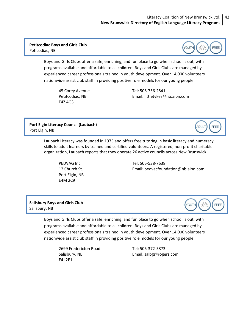YOUTH

 $\hat{p}$ 

**ADULT** 

**FREE** 

**FREE** 

### <span id="page-41-0"></span>**Petitcodiac Boys and Girls Club** Peticodiac, NB

Boys and Girls Clubs offer a safe, enriching, and fun place to go when school is out, with programs available and affordable to all children. Boys and Girls Clubs are managed by experienced career professionals trained in youth development. Over 14,000 volunteers nationwide assist club staff in providing positive role models for our young people.

E4Z 4G3

45 Corey Avenue Tel: 506‐756‐2841 Petitcodiac, NB Email: [littletykes@nb.aibn.com](mailto:littletykes@nb.aibn.com)

### **Port Elgin Literacy Council (Laubach)** Port Elgin, NB

Laubach Literacy was founded in 1975 and offers free tutoring in basic literacy and numeracy skills to adult learners by trained and certified volunteers. A registered, non‐profit charitable organization, Laubach reports that they operate 26 active councils across New Brunswick.

Port Elgin, NB E4M 2C9

PEDVAG Inc. Tel: 506‐538‐7638 12 Church St. Email: [pedvacfoundation@nb.aibn.com](mailto:pedvacfoundation@nb.aibn.com)

### **Salisbury Boys and Girls Club** Salisbury, NB

YOUTH aÖf FREE

Boys and Girls Clubs offer a safe, enriching, and fun place to go when school is out, with programs available and affordable to all children. Boys and Girls Clubs are managed by experienced career professionals trained in youth development. Over 14,000 volunteers nationwide assist club staff in providing positive role models for our young people.

2699 Fredericton Road Tel: 506‐372‐5873 E4J 2E1

Salisbury, NB 
Email: [salbg@rogers.com](mailto:salbg@rogers.com)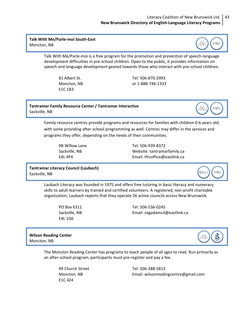### Literacy Coalition of New Brunswick Ltd. 43 **New Brunswick Directory of English‐Language Literacy Programs**

<span id="page-42-0"></span>**Talk With Me/Parle‐moi South‐East** Moncton, NB



Talk With Me/Parle‐moi is a free program for the promotion and prevention of speech‐language development difficulties in pre‐school children. Open to the public, it provides information on speech and language development geared towards those who interact with pre‐school children.

E1C 1B3

81 Albert St. Tel: 506‐870‐2993 Moncton, NB or 1‐888‐746‐1333

**Tantramar Family Resource Center / Tantramar Interactive** Sackville, NB



Family resource centres provide programs and resources for families with children 0‐6 years old, with some providing after‐school programming as well. Centres may differ in the services and programs they offer, depending on the needs of their communities.

9B Willow Lane Tel: 506‐939‐8372 Sackville, NB Website: tantramarfamily.ca E4L 4P4 Email: [tfrcoffice@eastlink.ca](mailto:tfrcoffice@eastlink.ca)

### **Tantramar Literacy Council (Laubach)** Sackville, NB



Laubach Literacy was founded in 1975 and offers free tutoring in basic literacy and numeracy skills to adult learners by trained and certified volunteers. A registered, non‐profit charitable organization, Laubach reports that they operate 26 active councils across New Brunswick.

E4L 1G6

PO Box 6311 Tel: 506‐536‐0245 Sackville, NB Email: [cegadams3@eastlink.ca](mailto:cegadams3@eastlink.ca)

### **Wilson Reading Center** Moncton, NB



The Moncton Reading Center has programs to teach people of all ages to read. Run primarily as an after‐school program, participants must pre‐register and pay a fee.

E1C 4Z4

99 Church Street Tel: 506‐388‐5813 Moncton, NB Email: [wilsonreadingcentre@gmail.com](mailto:wilsonreadingcentre@gmail.com)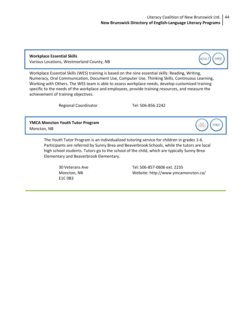**Workplace Essential Skills** Various Locations, Westmorland County, NB

<span id="page-43-0"></span>



Workplace Essential Skills (WES) training is based on the nine essential skills: Reading, Writing, Numeracy, Oral Communication, Document Use, Computer Use, Thinking Skills, Continuous Learning, Working with Others. The WES team is able to assess workplace needs, develop customized training specific to the needs of the workplace and employees, provide training resources, and measure the achievement of training objectives.

Regional Coordinator Tel: 506-856-2242

**YMCA Moncton Youth Tutor Program** Moncton, NB

t90t **FREE** 

The Youth Tutor Program is an individualized tutoring service for children in grades 1‐6. Participants are referred by Sunny Brea and Beaverbrook Schools, while the tutors are local high school students. Tutors go to the school of the child, which are typically Sunny Brea Elementary and Beaverbrook Elementary.

E1C 0B3

30 Veterans Ave Tel: 506‐857‐0606 ext. 2235 Moncton, NB Website: <http://www.ymcamoncton.ca/>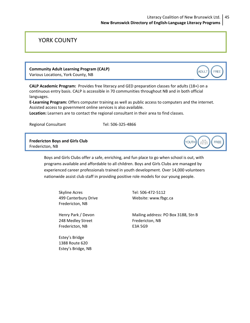### <span id="page-44-0"></span>YORK COUNTY

## **Community Adult Learning Program (CALP)**

Various Locations, York County, NB

**CALP Academic Program:** Provides free literacy and GED preparation classes for adults (18+) on a continuous entry basis. CALP is accessible in 70 communities throughout NB and in both official languages.

**E‐Learning Program:** Offers computer training as well as public access to computers and the internet. Assisted access to government online services is also available.

**Location:** Learners are to contact the regional consultant in their area to find classes.

Regional Consultant Tel: 506-325-4866

**Fredericton Boys and Girls Club** Fredericton, NB

> Boys and Girls Clubs offer a safe, enriching, and fun place to go when school is out, with programs available and affordable to all children. Boys and Girls Clubs are managed by experienced career professionals trained in youth development. Over 14,000 volunteers nationwide assist club staff in providing positive role models for our young people.

 Skyline Acres Tel: 506‐472‐5112 Fredericton, NB

248 Medley Street Fredericton, NB Fredericton, NB 
E3A 5G9

 Estey's Bridge 1388 Route 620 Estey's Bridge, NB

499 Canterbury Drive **Website:** [www.fbgc.ca](http://www.fbgc.ca)

Henry Park / Devon Mailing address: PO Box 3188, Stn B



**ADULT** 

FREE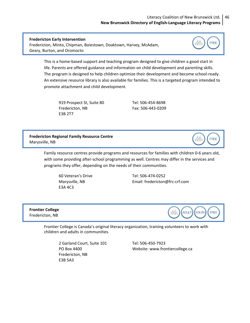### Literacy Coalition of New Brunswick Ltd. 46 **New Brunswick Directory of English‐Language Literacy Programs**

# **Fredericton Early Intervention**

<span id="page-45-0"></span>

Fredericton, Minto, Chipman, Boiestown, Doaktown, Harvey, McAdam, Geary, Burton, and Oromocto



This is a home‐based support and teaching program designed to give children a good start in life. Parents are offered guidance and information on child development and parenting skills. The program is designed to help children optimize their development and become school-ready. An extensive resource library is also available for families. This is a targeted program intended to promote attachment and child development.

919 Prospect St, Suite 80 Tel: 506-454-8698 Fredericton, NB Fax: 506‐443‐0209 E3B 2T7

**Fredericton Regional Family Resource Centre** Marysville, NB



Family resource centres provide programs and resources for families with children 0‐6 years old, with some providing after‐school programming as well. Centres may differ in the services and programs they offer, depending on the needs of their communities.

E3A 4C3

 60 Veteran's Drive Tel: 506‐474‐0252 Marysville, NB **Email:** [fredericton@frc](mailto:fredericton@frc%E2%80%90crf.com)-crf.com

**Frontier College** Fredericton, NB



Frontier College is Canada's original literacy organization, training volunteers to work with children and adults in communities.

 2 Garland Court, Suite 101 Tel: 506‐450‐7923 Fredericton, NB E3B 5A3

PO Box 4400 Website: [www.frontiercollege.ca](http://www.frontiercollege.ca)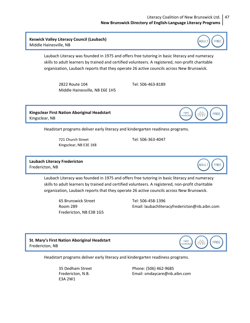### Literacy Coalition of New Brunswick Ltd. 47 **New Brunswick Directory of English‐Language Literacy Programs**

<span id="page-46-0"></span>**Keswick Valley Literacy Council (Laubach)** Middle Hainesville, NB



Laubach Literacy was founded in 1975 and offers free tutoring in basic literacy and numeracy skills to adult learners by trained and certified volunteers. A registered, non‐profit charitable organization, Laubach reports that they operate 26 active councils across New Brunswick.

 2822 Route 104 Tel: 506‐463‐8189 Middle Hainesville, NB E6E 1H5

**Kingsclear First Nation Aboriginal Headstart** Kingsclear, NB

Headstart programs deliver early literacy and kindergarten readiness programs.

 721 Church Street Tel: 506‐363‐4047 Kingsclear, NB E3E 1K8

**Laubach Literacy Fredericton** Fredericton, NB



**FREE** 

Laubach Literacy was founded in 1975 and offers free tutoring in basic literacy and numeracy skills to adult learners by trained and certified volunteers. A registered, non‐profit charitable organization, Laubach reports that they operate 26 active councils across New Brunswick.

 65 Brunswick Street Tel: 506‐458‐1396 Fredericton, NB E3B 1G5

Room 289 Email: [laubachliteracyfredericton@nb.aibn.com](mailto:laubachliteracyfredericton@nb.aibn.com)

FIRST<br>NATIONS

eÖŸ

**St. Mary's First Nation Aboriginal Headstart** Fredericton, NB



Headstart programs deliver early literacy and kindergarten readiness programs.

E3A 2W1

 35 Dedham Street Phone: (506) 462‐9685 Fredericton, N.B. Email: [smdaycare@nb.aibn.com](mailto:smdaycare@nb.aibn.com)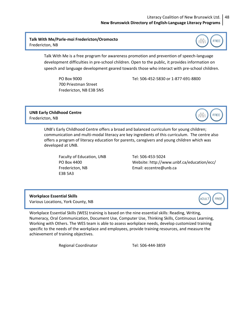### Literacy Coalition of New Brunswick Ltd. 48 **New Brunswick Directory of English‐Language Literacy Programs**

### <span id="page-47-0"></span>**Talk With Me/Parle‐moi Fredericton/Oromocto** Fredericton, NB



:AÑo

**ADULT** 

**FREE** 

**FREE** 

Talk With Me is a free program for awareness promotion and prevention of speech‐language development difficulties in pre‐school children. Open to the public, it provides information on speech and language development geared towards those who interact with pre‐school children.

 700 Priestman Street Fredericton, NB E3B 5N5

PO Box 9000 Tel: 506‐452‐5830 or 1‐877‐691‐8800

### **UNB Early Childhood Centre** Fredericton, NB

UNB's Early Childhood Centre offers a broad and balanced curriculum for young children; communication and multi-modal literacy are key ingredients of this curriculum. The centre also offers a program of literacy education for parents, caregivers and young children which was developed at UNB.

Faculty of Education, UNB Tel: 506-453-5024 Fredericton, NB **Email:** [eccentre@unb.ca](mailto:eccentre@unb.ca) E3B 5A3

PO Box 4400 Website: <http://www.unbf.ca/education/ecc/>

**Workplace Essential Skills** Various Locations, York County, NB

Workplace Essential Skills (WES) training is based on the nine essential skills: Reading, Writing, Numeracy, Oral Communication, Document Use, Computer Use, Thinking Skills, Continuous Learning, Working with Others. The WES team is able to assess workplace needs, develop customized training specific to the needs of the workplace and employees, provide training resources, and measure the achievement of training objectives.

Regional Coordinator Tel: 506-444-3859